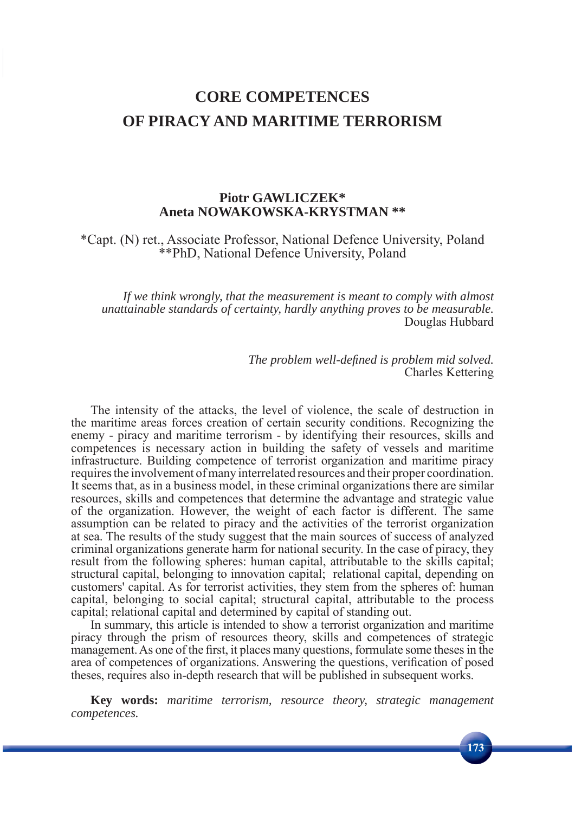# **CORE COMPETENCES OF PIRACY AND MARITIME TERRORISM**

# **Piotr GAWLICZEK\* Aneta NOWAKOWSKA-KRYSTMAN \*\***

\*Capt. (N) ret., Associate Professor, National Defence University, Poland \*\*PhD, National Defence University, Poland

*If we think wrongly, that the measurement is meant to comply with almost unattainable standards of certainty, hardly anything proves to be measurable.* Douglas Hubbard

> *The problem well-defined is problem mid solved.* Charles Kettering

The intensity of the attacks, the level of violence, the scale of destruction in the maritime areas forces creation of certain security conditions. Recognizing the enemy - piracy and maritime terrorism - by identifying their resources, skills and competences is necessary action in building the safety of vessels and maritime infrastructure. Building competence of terrorist organization and maritime piracy requires the involvement of many interrelated resources and their proper coordination. It seems that, as in a business model, in these criminal organizations there are similar resources, skills and competences that determine the advantage and strategic value of the organization. However, the weight of each factor is different. The same assumption can be related to piracy and the activities of the terrorist organization at sea. The results of the study suggest that the main sources of success of analyzed criminal organizations generate harm for national security. In the case of piracy, they result from the following spheres: human capital, attributable to the skills capital; structural capital, belonging to innovation capital; relational capital, depending on customers' capital. As for terrorist activities, they stem from the spheres of: human capital, belonging to social capital; structural capital, attributable to the process capital; relational capital and determined by capital of standing out.

In summary, this article is intended to show a terrorist organization and maritime piracy through the prism of resources theory, skills and competences of strategic management. As one of the first, it places many questions, formulate some theses in the area of competences of organizations. Answering the questions, verification of posed theses, requires also in-depth research that will be published in subsequent works.

**Key words:** *maritime terrorism, resource theory, strategic management competences.*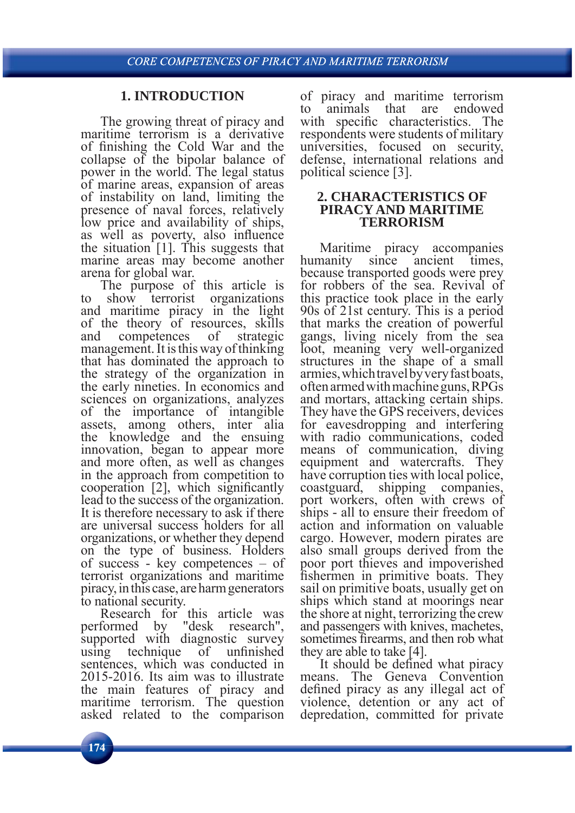# **1. INTRODUCTION**

The growing threat of piracy and maritime terrorism is a derivative of finishing the Cold War and the collapse of the bipolar balance of power in the world. The legal status of marine areas, expansion of areas of instability on land, limiting the presence of naval forces, relatively low price and availability of ships, as well as poverty, also influence the situation [1]. This suggests that marine areas may become another arena for global war.

The purpose of this article is to show terrorist organizations and maritime piracy in the light of the theory of resources, skills and competences of strategic management. It is this way of thinking that has dominated the approach to the strategy of the organization in the early nineties. In economics and sciences on organizations, analyzes of the importance of intangible assets, among others, inter alia the knowledge and the ensuing innovation, began to appear more and more often, as well as changes in the approach from competition to cooperation  $[2]$ , which significantly lead to the success of the organization. It is therefore necessary to ask if there are universal success holders for all organizations, or whether they depend on the type of business. Holders of success - key competences – of terrorist organizations and maritime piracy, in this case, are harm generators to national security.

Research for this article was performed by "desk research", supported with diagnostic survey using technique of unfinished sentences, which was conducted in 2015-2016. Its aim was to illustrate the main features of piracy and maritime terrorism. The question asked related to the comparison

of piracy and maritime terrorism to animals that are endowed with specific characteristics. The respondents were students of military universities, focused on security, defense, international relations and political science [3].

#### **2. CHARACTERISTICS OF PIRACY AND MARITIME TERRORISM**

Maritime piracy accompanies humanity since ancient times, because transported goods were prey for robbers of the sea. Revival of this practice took place in the early 90s of 21st century. This is a period that marks the creation of powerful gangs, living nicely from the sea loot, meaning very well-organized structures in the shape of a small armies, which travel by very fast boats, often armed with machine guns, RPGs and mortars, attacking certain ships. They have the GPS receivers, devices for eavesdropping and interfering with radio communications, coded means of communication, diving equipment and watercrafts. They have corruption ties with local police, coastguard, shipping companies, port workers, often with crews of ships - all to ensure their freedom of action and information on valuable cargo. However, modern pirates are also small groups derived from the poor port thieves and impoverished fishermen in primitive boats. They sail on primitive boats, usually get on ships which stand at moorings near the shore at night, terrorizing the crew and passengers with knives, machetes, sometimes firearms, and then rob what they are able to take [4].

It should be defined what piracy means. The Geneva Convention defined piracy as any illegal act of violence, detention or any act of depredation, committed for private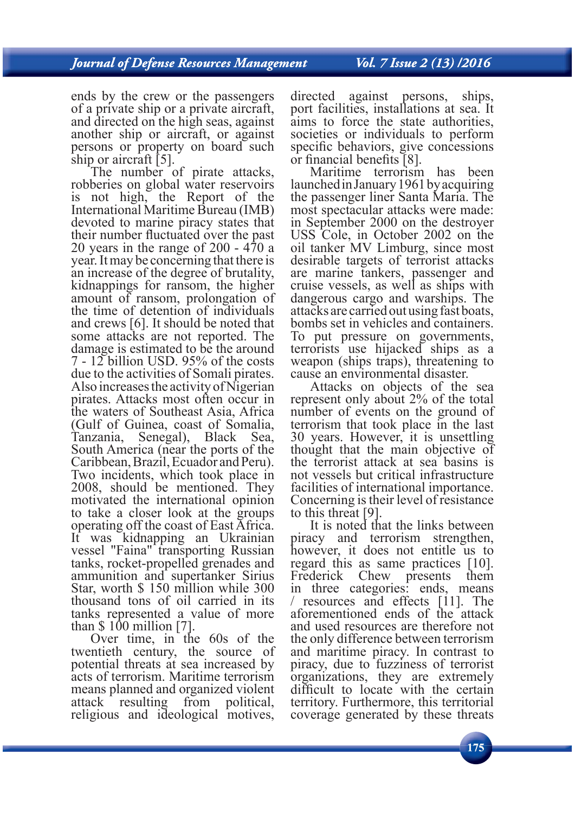ends by the crew or the passengers of a private ship or a private aircraft, and directed on the high seas, against another ship or aircraft, or against persons or property on board such ship or aircraft [5].

The number of pirate attacks, robberies on global water reservoirs is not high, the Report of the International Maritime Bureau (IMB) devoted to marine piracy states that their number fluctuated over the past 20 years in the range of 200 - 470 a year. It may be concerning that there is an increase of the degree of brutality, kidnappings for ransom, the higher amount of ransom, prolongation of the time of detention of individuals and crews [6]. It should be noted that some attacks are not reported. The damage is estimated to be the around 7 - 12 billion USD. 95% of the costs due to the activities of Somali pirates. Also increases the activity of Nigerian pirates. Attacks most often occur in the waters of Southeast Asia, Africa (Gulf of Guinea, coast of Somalia, Tanzania, Senegal), Black Sea, South America (near the ports of the Caribbean, Brazil, Ecuador and Peru). Two incidents, which took place in 2008, should be mentioned. They motivated the international opinion to take a closer look at the groups operating off the coast of East Africa. It was kidnapping an Ukrainian vessel "Faina" transporting Russian tanks, rocket-propelled grenades and ammunition and supertanker Sirius Star, worth \$ 150 million while 300 thousand tons of oil carried in its tanks represented a value of more than  $$100$  million [7].

Over time, in the 60s of the twentieth century, the source of potential threats at sea increased by acts of terrorism. Maritime terrorism means planned and organized violent attack resulting from political, religious and ideological motives,

directed against persons, ships, port facilities, installations at sea. It aims to force the state authorities, societies or individuals to perform specific behaviors, give concessions or financial benefits  $[8]$ .

Maritime terrorism has been launched in January 1961 by acquiring the passenger liner Santa Maria. The most spectacular attacks were made: in September 2000 on the destroyer USS Cole, in October 2002 on the oil tanker MV Limburg, since most desirable targets of terrorist attacks are marine tankers, passenger and cruise vessels, as well as ships with dangerous cargo and warships. The attacks are carried out using fast boats, bombs set in vehicles and containers. To put pressure on governments, terrorists use hijacked ships as a weapon (ships traps), threatening to cause an environmental disaster.

Attacks on objects of the sea represent only about 2% of the total number of events on the ground of terrorism that took place in the last 30 years. However, it is unsettling thought that the main objective of the terrorist attack at sea basins is not vessels but critical infrastructure facilities of international importance. Concerning is their level of resistance to this threat [9].

It is noted that the links between piracy and terrorism strengthen, however, it does not entitle us to regard this as same practices [10]. Frederick Chew presents them in three categories: ends, means  $\frac{1}{11}$ . The aforementioned ends of the attack and used resources are therefore not the only difference between terrorism and maritime piracy. In contrast to piracy, due to fuzziness of terrorist organizations, they are extremely difficult to locate with the certain territory. Furthermore, this territorial coverage generated by these threats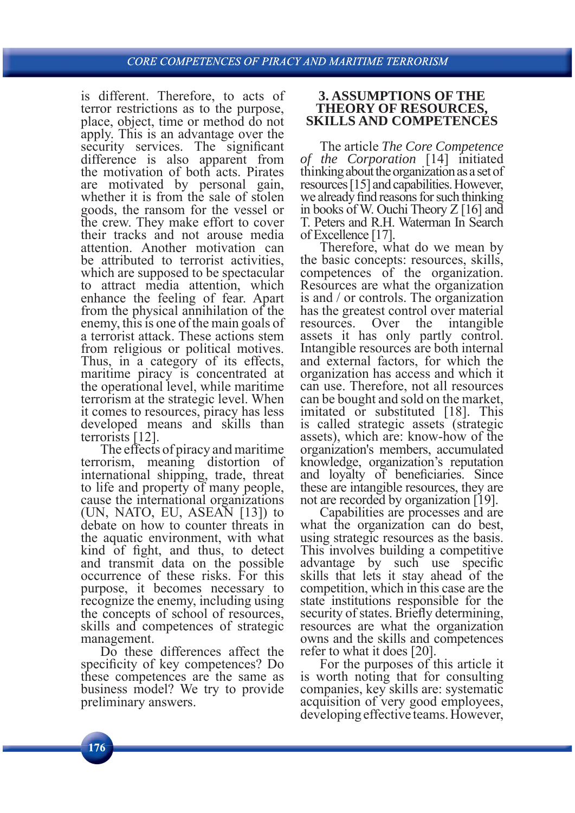is different. Therefore, to acts of terror restrictions as to the purpose, place, object, time or method do not apply. This is an advantage over the security services. The significant difference is also apparent from the motivation of both acts. Pirates are motivated by personal gain, whether it is from the sale of stolen goods, the ransom for the vessel or the crew. They make effort to cover their tracks and not arouse media attention. Another motivation can be attributed to terrorist activities, which are supposed to be spectacular to attract media attention, which enhance the feeling of fear. Apart from the physical annihilation of the enemy, this is one of the main goals of a terrorist attack. These actions stem from religious or political motives. Thus, in a category of its effects, maritime piracy is concentrated at the operational level, while maritime terrorism at the strategic level. When it comes to resources, piracy has less developed means and skills than terrorists [12].

The effects of piracy and maritime terrorism, meaning distortion of international shipping, trade, threat to life and property of many people, cause the international organizations (UN, NATO, EU, ASEAN [13]) to debate on how to counter threats in the aquatic environment, with what kind of fight, and thus, to detect and transmit data on the possible occurrence of these risks. For this purpose, it becomes necessary to recognize the enemy, including using the concepts of school of resources, skills and competences of strategic management.

Do these differences affect the specificity of key competences? Do these competences are the same as business model? We try to provide preliminary answers.

#### **3. ASSUMPTIONS OF THE THEORY OF RESOURCES, SKILLS AND COMPETENCES**

The article *The Core Competence of the Corporation* [14] initiated thinking about the organization as a set of resources [15] and capabilities. However, we already find reasons for such thinking in books of W. Ouchi Theory Z [16] and T. Peters and R.H. Waterman In Search of Excellence [17].

Therefore, what do we mean by the basic concepts: resources, skills, competences of the organization. Resources are what the organization is and / or controls. The organization has the greatest control over material resources. Over the intangible assets it has only partly control. Intangible resources are both internal and external factors, for which the organization has access and which it can use. Therefore, not all resources can be bought and sold on the market, imitated or substituted [18]. This is called strategic assets (strategic assets), which are: know-how of the organization's members, accumulated knowledge, organization's reputation and loyalty of beneficiaries. Since these are intangible resources, they are not are recorded by organization [19].

Capabilities are processes and are what the organization can do best, using strategic resources as the basis. This involves building a competitive advantage by such use specific skills that lets it stay ahead of the competition, which in this case are the state institutions responsible for the security of states. Briefly determining, resources are what the organization owns and the skills and competences refer to what it does [20].

For the purposes of this article it is worth noting that for consulting companies, key skills are: systematic acquisition of very good employees, developing effective teams. However,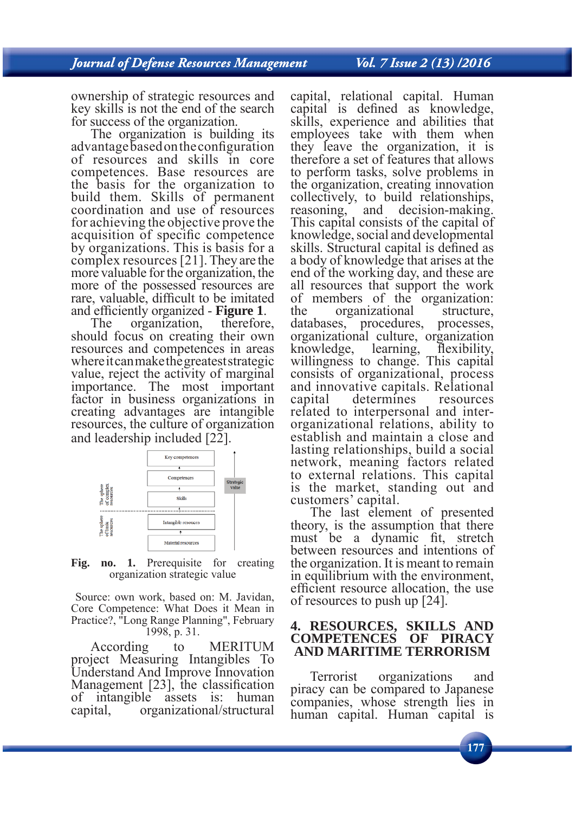Vol. 7 Issue 2 (13) /2016

ownership of strategic resources and key skills is not the end of the search for success of the organization.

The organization is building its advantage based on the configuration of resources and skills in core competences. Base resources are the basis for the organization to build them. Skills of permanent coordination and use of resources for achieving the objective prove the acquisition of specific competence by organizations. This is basis for a complex resources [21]. They are the more valuable for the organization, the more of the possessed resources are rare, valuable, difficult to be imitated

and efficiently organized - **Figure 1**.<br>The organization, therefore, should focus on creating their own resources and competences in areas where it can make the greatest strategic value, reject the activity of marginal importance. The most important factor in business organizations in creating advantages are intangible resources, the culture of organization and leadership included [22].



Fig. no. 1. Prerequisite for creating organization strategic value

 Source: own work, based on: M. Javidan, Core Competence: What Does it Mean in Practice?, "Long Range Planning", February 1998, p. 31.

According to MERITUM project Measuring Intangibles To Understand And Improve Innovation Management  $[23]$ , the classification of intangible assets is: human capital, organizational/structural

capital, relational capital. Human capital is defined as knowledge, skills, experience and abilities that employees take with them when they leave the organization, it is therefore a set of features that allows to perform tasks, solve problems in the organization, creating innovation collectively, to build relationships, reasoning, and decision-making. This capital consists of the capital of knowledge, social and developmental skills. Structural capital is defined as a body of knowledge that arises at the end of the working day, and these are all resources that support the work of members of the organization: the organizational structure, databases, procedures, processes, organizational culture, organization knowledge, learning, flexibility, willingness to change. This capital consists of organizational, process and innovative capitals. Relational capital determines resources related to interpersonal and interorganizational relations, ability to establish and maintain a close and lasting relationships, build a social network, meaning factors related to external relations. This capital is the market, standing out and customers' capital.

The last element of presented theory, is the assumption that there must be a dynamic fit, stretch between resources and intentions of the organization. It is meant to remain in equilibrium with the environment, efficient resource allocation, the use of resources to push up [24].

## **4. RESOURCES, SKILLS AND COMPETENCES OF PIRACY AND MARITIME TERRORISM**

Terrorist organizations and piracy can be compared to Japanese companies, whose strength lies in human capital. Human capital is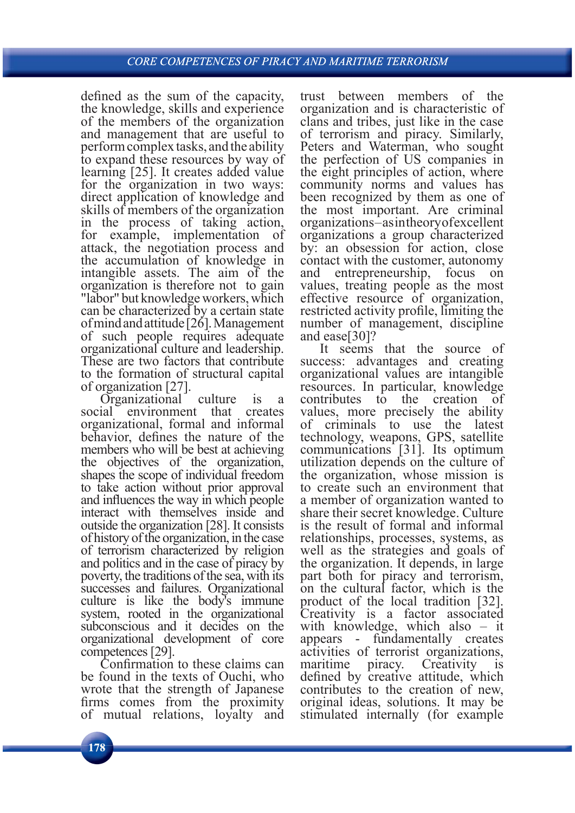defined as the sum of the capacity, the knowledge, skills and experience of the members of the organization and management that are useful to perform complex tasks, and the ability to expand these resources by way of learning [25]. It creates added value for the organization in two ways: direct application of knowledge and skills of members of the organization in the process of taking action, for example, implementation of attack, the negotiation process and the accumulation of knowledge in intangible assets. The aim of the organization is therefore not to gain "labor" but knowledge workers, which can be characterized by a certain state of mind and attitude [26]. Management of such people requires adequate organizational culture and leadership. These are two factors that contribute to the formation of structural capital of organization [27].

Organizational culture is a social environment that creates organizational, formal and informal behavior, defines the nature of the members who will be best at achieving the objectives of the organization, shapes the scope of individual freedom to take action without prior approval and influences the way in which people interact with themselves inside and outside the organization [28]. It consists of history of the organization, in the case of terrorism characterized by religion and politics and in the case of piracy by poverty, the traditions of the sea, with its successes and failures. Organizational culture is like the body's immune system, rooted in the organizational subconscious and it decides on the organizational development of core competences [29].

Confirmation to these claims can be found in the texts of Ouchi, who wrote that the strength of Japanese firms comes from the proximity of mutual relations, loyalty and

trust between members of the organization and is characteristic of clans and tribes, just like in the case of terrorism and piracy. Similarly, Peters and Waterman, who sought the perfection of US companies in the eight principles of action, where community norms and values has been recognized by them as one of the most important. Are criminal organizations – as in theory of excellent organizations a group characterized by: an obsession for action, close contact with the customer, autonomy and entrepreneurship, focus on values, treating people as the most effective resource of organization, restricted activity profile, limiting the number of management, discipline and ease[30]?

It seems that the source of success: advantages and creating organizational values are intangible resources. In particular, knowledge contributes to the creation of values, more precisely the ability of criminals to use the latest technology, weapons, GPS, satellite communications [31]. Its optimum utilization depends on the culture of the organization, whose mission is to create such an environment that a member of organization wanted to share their secret knowledge. Culture is the result of formal and informal relationships, processes, systems, as well as the strategies and goals of the organization. It depends, in large part both for piracy and terrorism, on the cultural factor, which is the product of the local tradition [32]. Creativity is a factor associated with knowledge, which also – it appears - fundamentally creates activities of terrorist organizations, maritime piracy. Creativity is defined by creative attitude, which contributes to the creation of new, original ideas, solutions. It may be stimulated internally (for example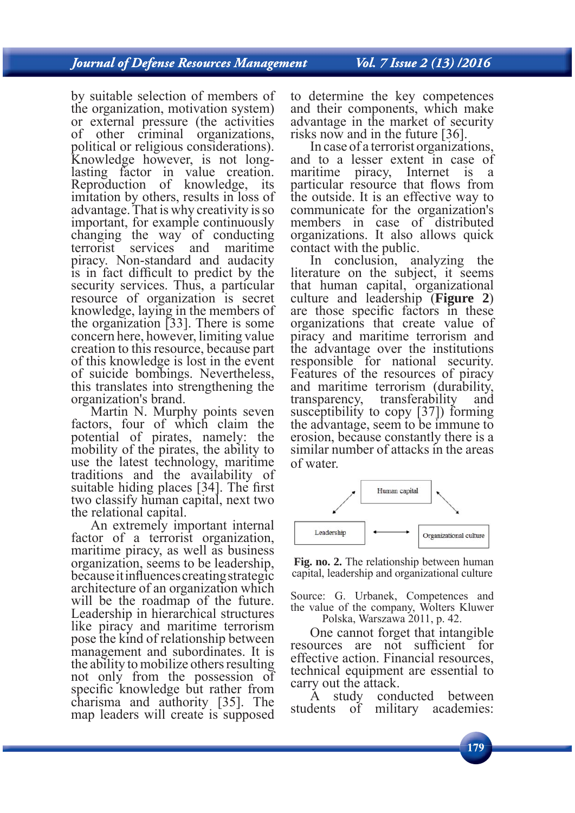Vol. 7 Issue 2 (13) /2016

by suitable selection of members of the organization, motivation system) or external pressure (the activities of other criminal organizations, political or religious considerations). Knowledge however, is not longlasting factor in value creation. Reproduction of knowledge, its imitation by others, results in loss of advantage. That is why creativity is so important, for example continuously changing the way of conducting terrorist services and maritime piracy. Non-standard and audacity is in fact difficult to predict by the security services. Thus, a particular resource of organization is secret knowledge, laying in the members of the organization [33]. There is some concern here, however, limiting value creation to this resource, because part of this knowledge is lost in the event of suicide bombings. Nevertheless, this translates into strengthening the organization's brand.

Martin N. Murphy points seven factors, four of which claim the potential of pirates, namely: the mobility of the pirates, the ability to use the latest technology, maritime traditions and the availability of suitable hiding places [34]. The first two classify human capital, next two the relational capital.

An extremely important internal factor of a terrorist organization, maritime piracy, as well as business organization, seems to be leadership, because it influences creating strategic architecture of an organization which will be the roadmap of the future. Leadership in hierarchical structures like piracy and maritime terrorism pose the kind of relationship between management and subordinates. It is the ability to mobilize others resulting not only from the possession of specific knowledge but rather from charisma and authority [35]. The map leaders will create is supposed

to determine the key competences and their components, which make advantage in the market of security risks now and in the future [36].

In case of a terrorist organizations, and to a lesser extent in case of maritime piracy, Internet is a particular resource that flows from the outside. It is an effective way to communicate for the organization's members in case of distributed organizations. It also allows quick contact with the public.

In conclusion, analyzing the literature on the subject, it seems that human capital, organizational culture and leadership (**Figure 2**) are those specific factors in these organizations that create value of piracy and maritime terrorism and the advantage over the institutions responsible for national security. Features of the resources of piracy and maritime terrorism (durability, transparency, transferability and susceptibility to copy [37]) forming the advantage, seem to be immune to erosion, because constantly there is a similar number of attacks in the areas of water.



**Fig. no. 2.** The relationship between human capital, leadership and organizational culture

Source: G. Urbanek, Competences and the value of the company, Wolters Kluwer Polska, Warszawa 2011, p. 42.

One cannot forget that intangible resources are not sufficient for effective action. Financial resources, technical equipment are essential to carry out the attack.

A study conducted between students of military academies: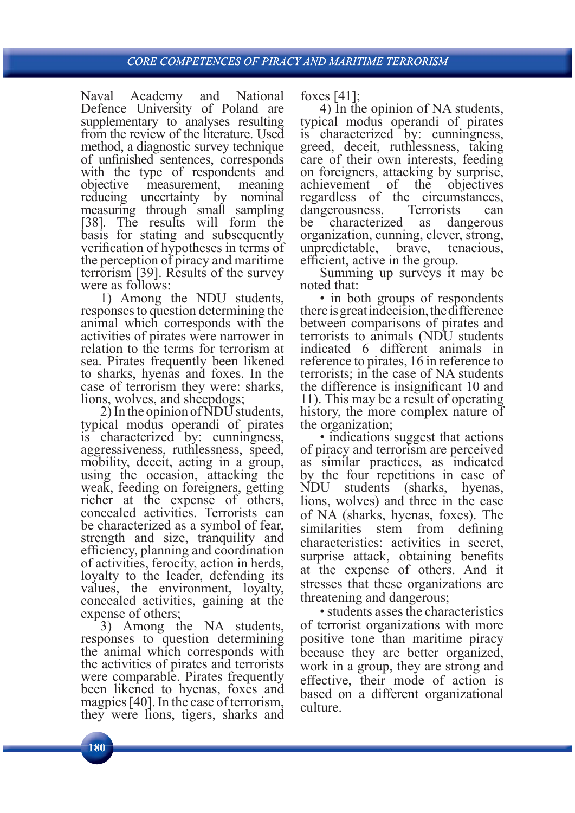Naval Academy and National Defence University of Poland are supplementary to analyses resulting from the review of the literature. Used method, a diagnostic survey technique of unfinished sentences, corresponds with the type of respondents and objective measurement, meaning reducing uncertainty by nominal measuring through small sampling [38]. The results will form the basis for stating and subsequently verification of hypotheses in terms of the perception of piracy and maritime terrorism [39]. Results of the survey were as follows:

1) Among the NDU students, responses to question determining the animal which corresponds with the activities of pirates were narrower in relation to the terms for terrorism at sea. Pirates frequently been likened to sharks, hyenas and foxes. In the case of terrorism they were: sharks, lions, wolves, and sheepdogs;

2) In the opinion of NDU students, typical modus operandi of pirates is characterized by: cunningness, aggressiveness, ruthlessness, speed, mobility, deceit, acting in a group, using the occasion, attacking the weak, feeding on foreigners, getting richer at the expense of others, concealed activities. Terrorists can be characterized as a symbol of fear, strength and size, tranquility and efficiency, planning and coordination of activities, ferocity, action in herds, loyalty to the leader, defending its values, the environment, loyalty, concealed activities, gaining at the expense of others;

3) Among the NA students, responses to question determining the animal which corresponds with the activities of pirates and terrorists were comparable. Pirates frequently been likened to hyenas, foxes and magpies [40]. In the case of terrorism, they were lions, tigers, sharks and foxes [41];

4) In the opinion of NA students, typical modus operandi of pirates is characterized by: cunningness, greed, deceit, ruthlessness, taking care of their own interests, feeding on foreigners, attacking by surprise, achievement of the objectives regardless of the circumstances, dangerousness. Terrorists can be characterized as dangerous organization, cunning, clever, strong, unpredictable, brave, tenacious, efficient, active in the group.

Summing up surveys it may be noted that:

• in both groups of respondents there is great indecision, the difference between comparisons of pirates and terrorists to animals (NDU students indicated 6 different animals in reference to pirates, 16 in reference to terrorists; in the case of NA students the difference is insignificant 10 and 11). This may be a result of operating history, the more complex nature of the organization;

• indications suggest that actions of piracy and terrorism are perceived as similar practices, as indicated by the four repetitions in case of NDU students (sharks, hyenas, lions, wolves) and three in the case of NA (sharks, hyenas, foxes). The similarities stem from defining characteristics: activities in secret, surprise attack, obtaining benefits at the expense of others. And it stresses that these organizations are threatening and dangerous;

• students asses the characteristics of terrorist organizations with more positive tone than maritime piracy because they are better organized, work in a group, they are strong and effective, their mode of action is based on a different organizational culture.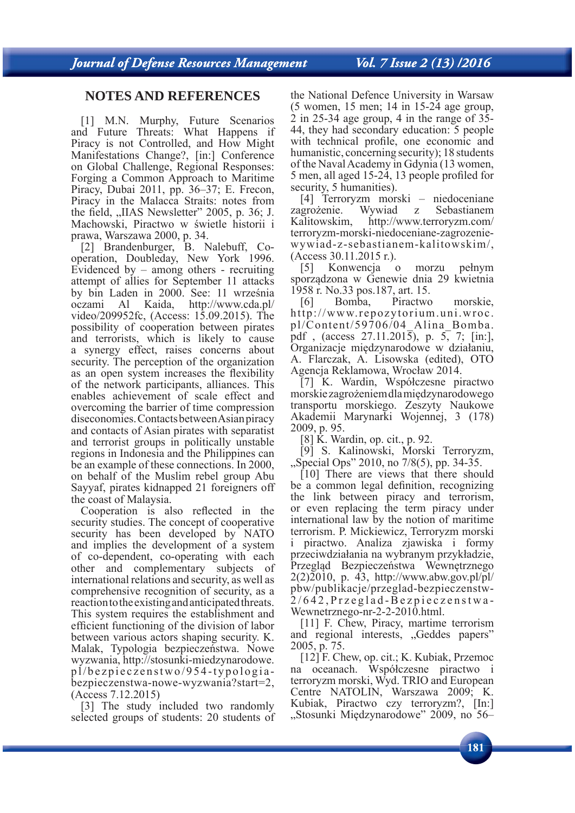Vol. 7 Issue 2 (13) /2016

## **NOTES AND REFERENCES**

[1] M.N. Murphy, Future Scenarios and Future Threats: What Happens if Piracy is not Controlled, and How Might Manifestations Change?, [in:] Conference on Global Challenge, Regional Responses: Forging a Common Approach to Maritime Piracy, Dubai 2011, pp. 36–37; E. Frecon, Piracy in the Malacca Straits: notes from the field,  $\mu$ IIAS Newsletter" 2005, p. 36; J. Machowski, Piractwo w świetle historii i prawa, Warszawa 2000, p. 34.

[2] Brandenburger, B. Nalebuff, Cooperation, Doubleday, New York 1996. Evidenced by – among others - recruiting attempt of allies for September 11 attacks by bin Laden in 2000. See: 11 września oczami Al Kaida, http://www.cda.pl/ video/209952fc, (Access: 15.09.2015). The possibility of cooperation between pirates and terrorists, which is likely to cause a synergy effect, raises concerns about security. The perception of the organization as an open system increases the flexibility of the network participants, alliances. This enables achievement of scale effect and overcoming the barrier of time compression diseconomies. Contacts between Asian piracy and contacts of Asian pirates with separatist and terrorist groups in politically unstable regions in Indonesia and the Philippines can be an example of these connections. In 2000, on behalf of the Muslim rebel group Abu Sayyaf, pirates kidnapped 21 foreigners off the coast of Malaysia.

Cooperation is also reflected in the security studies. The concept of cooperative security has been developed by NATO and implies the development of a system of co-dependent, co-operating with each other and complementary subjects of international relations and security, as well as comprehensive recognition of security, as a reaction to the existing and anticipated threats. This system requires the establishment and efficient functioning of the division of labor between various actors shaping security. K. Malak, Typologia bezpieczeństwa. Nowe wyzwania, http://stosunki-miedzynarodowe. pl/bezpieczenstwo/954-typologiabezpieczenstwa-nowe-wyzwania?start=2, (Access 7.12.2015)

[3] The study included two randomly selected groups of students: 20 students of the National Defence University in Warsaw (5 women, 15 men; 14 in 15-24 age group, 2 in 25-34 age group, 4 in the range of 35- 44, they had secondary education: 5 people with technical profile, one economic and humanistic, concerning security); 18 students of the Naval Academy in Gdynia (13 women, 5 men, all aged 15-24, 13 people profiled for security, 5 humanities).

[4] Terroryzm morski – niedoceniane zagrożenie. Wywiad z Sebastianem Kalitowskim, http://www.terroryzm.com/ terroryzm-morski-niedoceniane-zagrozeniewywiad-z-sebastianem-kalitowskim/, (Access 30.11.2015 r.).

[5] Konwencja o morzu pełnym sporządzona w Genewie dnia 29 kwietnia 1958 r. No.33 pos.187, art. 15.

[6] Bomba, Piractwo morskie, http://www.repozytorium.uni.wroc. pl/Content/59706/04\_Alina\_Bomba. pdf, (access  $27.11.201\overline{5}$ ), p.  $5, 7$ ; [in:], Organizacje międzynarodowe w działaniu, A. Flarczak, A. Lisowska (edited), OTO Agencja Reklamowa, Wrocław 2014.

[7] K. Wardin, Współczesne piractwo morskie zagrożeniem dla międzynarodowego transportu morskiego. Zeszyty Naukowe Akademii Marynarki Wojennej, 3 (178) 2009, p. 95.

[8] K. Wardin, op. cit., p. 92.

[9] S. Kalinowski, Morski Terroryzm,  $,$ Special Ops" 2010, no 7/8(5), pp. 34-35.

[10] There are views that there should be a common legal definition, recognizing the link between piracy and terrorism, or even replacing the term piracy under international law by the notion of maritime terrorism. P. Mickiewicz, Terroryzm morski i piractwo. Analiza zjawiska i formy przeciwdziałania na wybranym przykładzie, Przegląd Bezpieczeństwa Wewnętrznego  $2(2)2010$ , p. 43, http://www.abw.gov.pl/pl/ pbw/publikacje/przeglad-bezpieczenstw-2/642,Przeglad-Bezpieczenstwa-Wewnetrznego-nr-2-2-2010.html.

[11] F. Chew, Piracy, martime terrorism and regional interests, "Geddes papers" 2005, p. 75.

[12] F. Chew, op. cit.; K. Kubiak, Przemoc na oceanach. Współczesne piractwo i terroryzm morski, Wyd. TRIO and European Centre NATOLIN, Warszawa 2009; K. Kubiak, Piractwo czy terroryzm?, [In:] "Stosunki Międzynarodowe" 2009, no 56–